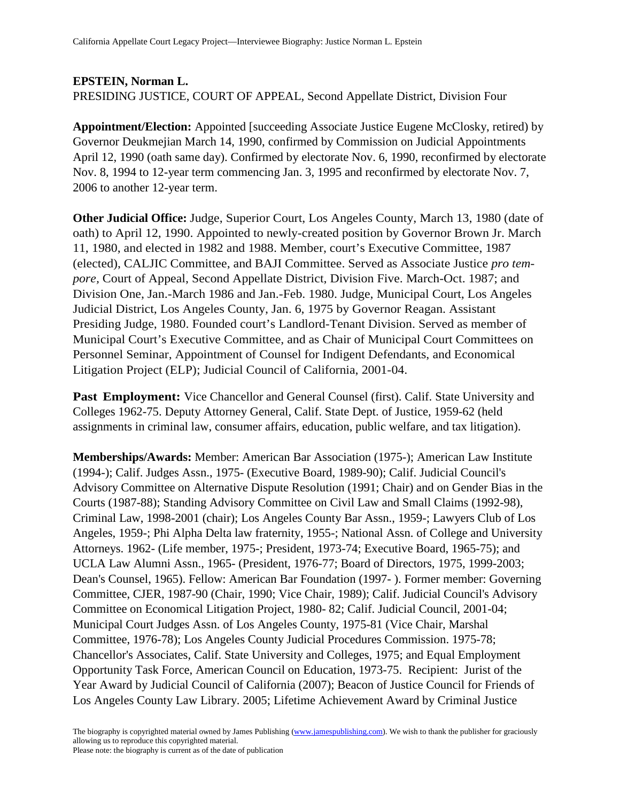## **EPSTEIN, Norman L.**

PRESIDING JUSTICE, COURT OF APPEAL, Second Appellate District, Division Four

**Appointment/Election:** Appointed [succeeding Associate Justice Eugene McClosky, retired) by Governor Deukmejian March 14, 1990, confirmed by Commission on Judicial Appointments April 12, 1990 (oath same day). Confirmed by electorate Nov. 6, 1990, reconfirmed by electorate Nov. 8, 1994 to 12-year term commencing Jan. 3, 1995 and reconfirmed by electorate Nov. 7, 2006 to another 12-year term.

**Other Judicial Office:** Judge, Superior Court, Los Angeles County, March 13, 1980 (date of oath) to April 12, 1990. Appointed to newly-created position by Governor Brown Jr. March 11, 1980, and elected in 1982 and 1988. Member, court's Executive Committee, 1987 (elected), CALJIC Committee, and BAJI Committee. Served as Associate Justice *pro tempore,* Court of Appeal, Second Appellate District, Division Five. March-Oct. 1987; and Division One, Jan.-March 1986 and Jan.-Feb. 1980. Judge, Municipal Court, Los Angeles Judicial District, Los Angeles County, Jan. 6, 1975 by Governor Reagan. Assistant Presiding Judge, 1980. Founded court's Landlord-Tenant Division. Served as member of Municipal Court's Executive Committee, and as Chair of Municipal Court Committees on Personnel Seminar, Appointment of Counsel for Indigent Defendants, and Economical Litigation Project (ELP); Judicial Council of California, 2001-04.

**Past Employment:** Vice Chancellor and General Counsel (first). Calif. State University and Colleges 1962-75. Deputy Attorney General, Calif. State Dept. of Justice, 1959-62 (held assignments in criminal law, consumer affairs, education, public welfare, and tax litigation).

**Memberships/Awards:** Member: American Bar Association (1975-); American Law Institute (1994-); Calif. Judges Assn., 1975- (Executive Board, 1989-90); Calif. Judicial Council's Advisory Committee on Alternative Dispute Resolution (1991; Chair) and on Gender Bias in the Courts (1987-88); Standing Advisory Committee on Civil Law and Small Claims (1992-98), Criminal Law, 1998-2001 (chair); Los Angeles County Bar Assn., 1959-; Lawyers Club of Los Angeles, 1959-; Phi Alpha Delta law fraternity, 1955-; National Assn. of College and University Attorneys. 1962- (Life member, 1975-; President, 1973-74; Executive Board, 1965-75); and UCLA Law Alumni Assn., 1965- (President, 1976-77; Board of Directors, 1975, 1999-2003; Dean's Counsel, 1965). Fellow: American Bar Foundation (1997- ). Former member: Governing Committee, CJER, 1987-90 (Chair, 1990; Vice Chair, 1989); Calif. Judicial Council's Advisory Committee on Economical Litigation Project, 1980- 82; Calif. Judicial Council, 2001-04; Municipal Court Judges Assn. of Los Angeles County, 1975-81 (Vice Chair, Marshal Committee, 1976-78); Los Angeles County Judicial Procedures Commission. 1975-78; Chancellor's Associates, Calif. State University and Colleges, 1975; and Equal Employment Opportunity Task Force, American Council on Education, 1973-75. Recipient: Jurist of the Year Award by Judicial Council of California (2007); Beacon of Justice Council for Friends of Los Angeles County Law Library. 2005; Lifetime Achievement Award by Criminal Justice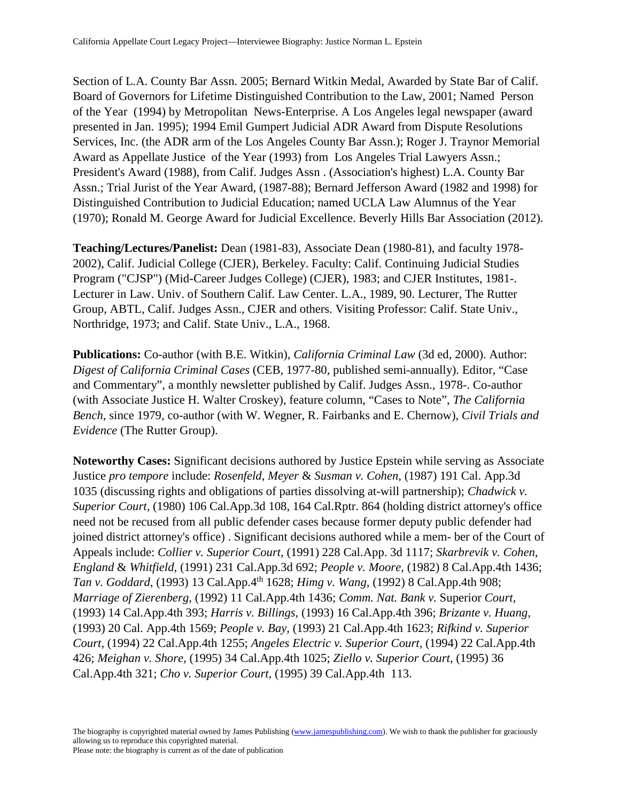Section of L.A. County Bar Assn. 2005; Bernard Witkin Medal, Awarded by State Bar of Calif. Board of Governors for Lifetime Distinguished Contribution to the Law, 2001; Named Person of the Year (1994) by Metropolitan News-Enterprise. A Los Angeles legal newspaper (award presented in Jan. 1995); 1994 Emil Gumpert Judicial ADR Award from Dispute Resolutions Services, Inc. (the ADR arm of the Los Angeles County Bar Assn.); Roger J. Traynor Memorial Award as Appellate Justice of the Year (1993) from Los Angeles Trial Lawyers Assn.; President's Award (1988), from Calif. Judges Assn . (Association's highest) L.A. County Bar Assn.; Trial Jurist of the Year Award, (1987-88); Bernard Jefferson Award (1982 and 1998) for Distinguished Contribution to Judicial Education; named UCLA Law Alumnus of the Year (1970); Ronald M. George Award for Judicial Excellence. Beverly Hills Bar Association (2012).

**Teaching/Lectures/Panelist:** Dean (1981-83), Associate Dean (1980-81), and faculty 1978- 2002), Calif. Judicial College (CJER), Berkeley. Faculty: Calif. Continuing Judicial Studies Program ("CJSP") (Mid-Career Judges College) (CJER), 1983; and CJER Institutes, 1981-. Lecturer in Law. Univ. of Southern Calif. Law Center. L.A., 1989, 90. Lecturer, The Rutter Group, ABTL, Calif. Judges Assn., CJER and others. Visiting Professor: Calif. State Univ., Northridge, 1973; and Calif. State Univ., L.A., 1968.

**Publications:** Co-author (with B.E. Witkin), *California Criminal Law* (3d ed, 2000). Author: *Digest of California Criminal Cases* (CEB, 1977-80, published semi-annually). Editor, "Case and Commentary", a monthly newsletter published by Calif. Judges Assn., 1978-. Co-author (with Associate Justice H. Walter Croskey), feature column, "Cases to Note", *The California Bench*, since 1979, co-author (with W. Wegner, R. Fairbanks and E. Chernow), *Civil Trials and Evidence* (The Rutter Group).

**Noteworthy Cases:** Significant decisions authored by Justice Epstein while serving as Associate Justice *pro tempore* include: *Rosenfeld, Meyer* & *Susman v. Cohen,* (1987) 191 Cal. App.3d 1035 (discussing rights and obligations of parties dissolving at-will partnership); *Chadwick v. Superior Court,* (1980) 106 Cal.App.3d 108, 164 Cal.Rptr. 864 (holding district attorney's office need not be recused from all public defender cases because former deputy public defender had joined district attorney's office) . Significant decisions authored while a mem- ber of the Court of Appeals include: *Collier v. Superior Court,* (1991) 228 Cal.App. 3d 1117; *Skarbrevik v. Cohen, England* & *Whitfield,* (1991) 231 Cal.App.3d 692; *People v. Moore,* (1982) 8 Cal.App.4th 1436; *Tan v. Goddard,* (1993) 13 Cal.App.4th 1628; *Himg v. Wang,* (1992) 8 Cal.App.4th 908; *Marriage of Zierenberg,* (1992) 11 Cal.App.4th 1436; *Comm. Nat. Bank v.* Superior *Court,*  (1993) 14 Cal.App.4th 393; *Harris v. Billings,* (1993) 16 Cal.App.4th 396; *Brizante v. Huang,*  (1993) 20 Cal. App.4th 1569; *People v. Bay,* (1993) 21 Cal.App.4th 1623; *Rifkind v. Superior Court,* (1994) 22 Cal.App.4th 1255; *Angeles Electric v. Superior Court,* (1994) 22 Cal.App.4th 426; *Meighan v. Shore,* (1995) 34 Cal.App.4th 1025; *Ziello v. Superior Court,* (1995) 36 Cal.App.4th 321; *Cho v. Superior Court,* (1995) 39 Cal.App.4th 113.